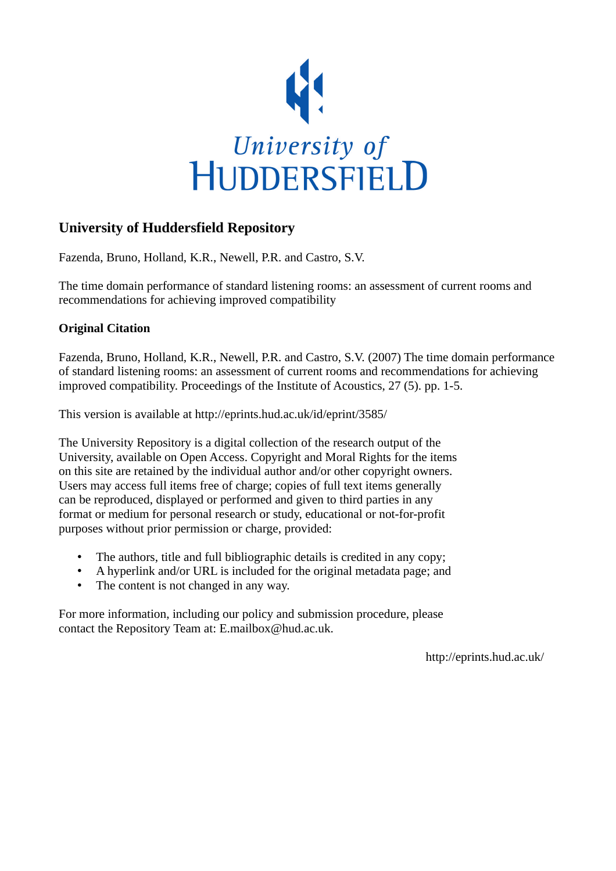

## **University of Huddersfield Repository**

Fazenda, Bruno, Holland, K.R., Newell, P.R. and Castro, S.V.

The time domain performance of standard listening rooms: an assessment of current rooms and recommendations for achieving improved compatibility

### **Original Citation**

Fazenda, Bruno, Holland, K.R., Newell, P.R. and Castro, S.V. (2007) The time domain performance of standard listening rooms: an assessment of current rooms and recommendations for achieving improved compatibility. Proceedings of the Institute of Acoustics, 27 (5). pp. 1-5.

This version is available at http://eprints.hud.ac.uk/id/eprint/3585/

The University Repository is a digital collection of the research output of the University, available on Open Access. Copyright and Moral Rights for the items on this site are retained by the individual author and/or other copyright owners. Users may access full items free of charge; copies of full text items generally can be reproduced, displayed or performed and given to third parties in any format or medium for personal research or study, educational or not-for-profit purposes without prior permission or charge, provided:

- The authors, title and full bibliographic details is credited in any copy;
- A hyperlink and/or URL is included for the original metadata page; and
- The content is not changed in any way.

For more information, including our policy and submission procedure, please contact the Repository Team at: E.mailbox@hud.ac.uk.

http://eprints.hud.ac.uk/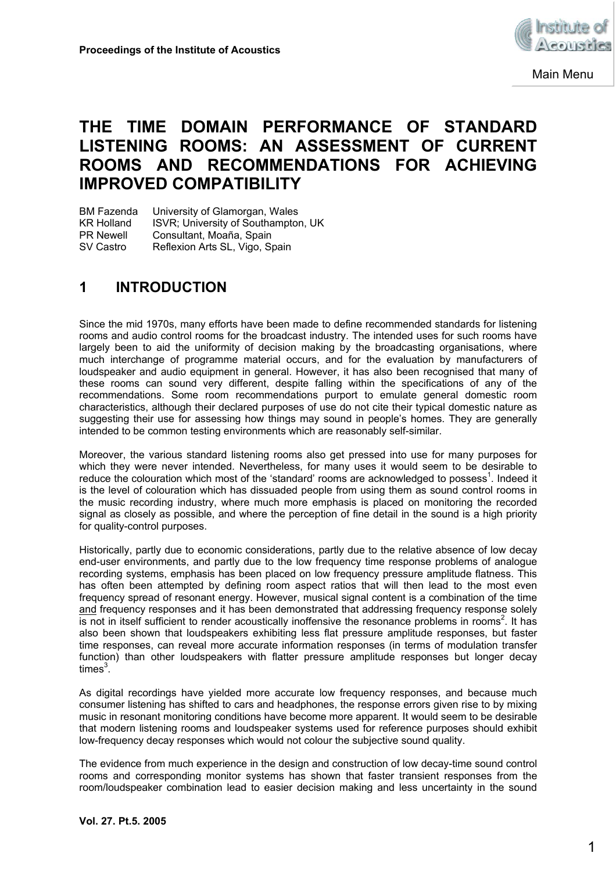

Main Menu

# **THE TIME DOMAIN PERFORMANCE OF STANDARD LISTENING ROOMS: AN ASSESSMENT OF CURRENT ROOMS AND RECOMMENDATIONS FOR ACHIEVING IMPROVED COMPATIBILITY**

BM Fazenda University of Glamorgan, Wales KR Holland ISVR; University of Southampton, UK PR Newell Consultant, Moaña, Spain SV Castro Reflexion Arts SL, Vigo, Spain

## **1 INTRODUCTION**

Since the mid 1970s, many efforts have been made to define recommended standards for listening rooms and audio control rooms for the broadcast industry. The intended uses for such rooms have largely been to aid the uniformity of decision making by the broadcasting organisations, where much interchange of programme material occurs, and for the evaluation by manufacturers of loudspeaker and audio equipment in general. However, it has also been recognised that many of these rooms can sound very different, despite falling within the specifications of any of the recommendations. Some room recommendations purport to emulate general domestic room characteristics, although their declared purposes of use do not cite their typical domestic nature as suggesting their use for assessing how things may sound in people's homes. They are generally intended to be common testing environments which are reasonably self-similar.

Moreover, the various standard listening rooms also get pressed into use for many purposes for which they were never intended. Nevertheless, for many uses it would seem to be desirable to reduce the colouration which most of the 'standard' rooms are acknowledged to possess<sup>1</sup>. Indeed it is the level of colouration which has dissuaded people from using them as sound control rooms in the music recording industry, where much more emphasis is placed on monitoring the recorded signal as closely as possible, and where the perception of fine detail in the sound is a high priority for quality-control purposes.

Historically, partly due to economic considerations, partly due to the relative absence of low decay end-user environments, and partly due to the low frequency time response problems of analogue recording systems, emphasis has been placed on low frequency pressure amplitude flatness. This has often been attempted by defining room aspect ratios that will then lead to the most even frequency spread of resonant energy. However, musical signal content is a combination of the time and frequency responses and it has been demonstrated that addressing frequency response solely is not in itself sufficient to render acoustically inoffensive the resonance problems in rooms<sup>2</sup>. It has also been shown that loudspeakers exhibiting less flat pressure amplitude responses, but faster time responses, can reveal more accurate information responses (in terms of modulation transfer function) than other loudspeakers with flatter pressure amplitude responses but longer decay times $^3$ .

As digital recordings have yielded more accurate low frequency responses, and because much consumer listening has shifted to cars and headphones, the response errors given rise to by mixing music in resonant monitoring conditions have become more apparent. It would seem to be desirable that modern listening rooms and loudspeaker systems used for reference purposes should exhibit low-frequency decay responses which would not colour the subjective sound quality.

The evidence from much experience in the design and construction of low decay-time sound control rooms and corresponding monitor systems has shown that faster transient responses from the room/loudspeaker combination lead to easier decision making and less uncertainty in the sound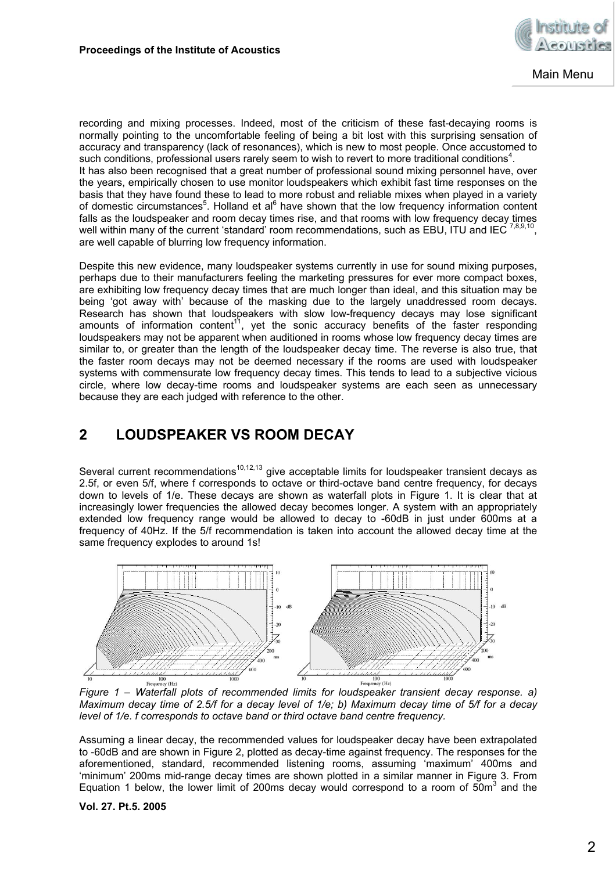

recording and mixing processes. Indeed, most of the criticism of these fast-decaying rooms is normally pointing to the uncomfortable feeling of being a bit lost with this surprising sensation of accuracy and transparency (lack of resonances), which is new to most people. Once accustomed to such conditions, professional users rarely seem to wish to revert to more traditional conditions<sup>4</sup>. It has also been recognised that a great number of professional sound mixing personnel have, over the years, empirically chosen to use monitor loudspeakers which exhibit fast time responses on the basis that they have found these to lead to more robust and reliable mixes when played in a variety of domestic circumstances<sup>5</sup>. Holland et al<sup>6</sup> have shown that the low frequency information content falls as the loudspeaker and room decay times rise, and that rooms with low frequency decay times well within many of the current 'standard' room recommendations, such as EBU, ITU and IEC  $^{7,8,9,10}$ , are well capable of blurring low frequency information.

Despite this new evidence, many loudspeaker systems currently in use for sound mixing purposes, perhaps due to their manufacturers feeling the marketing pressures for ever more compact boxes, are exhibiting low frequency decay times that are much longer than ideal, and this situation may be being 'got away with' because of the masking due to the largely unaddressed room decays. Research has shown that loudspeakers with slow low-frequency decays may lose significant amounts of information content<sup>11</sup>, yet the sonic accuracy benefits of the faster responding loudspeakers may not be apparent when auditioned in rooms whose low frequency decay times are similar to, or greater than the length of the loudspeaker decay time. The reverse is also true, that the faster room decays may not be deemed necessary if the rooms are used with loudspeaker systems with commensurate low frequency decay times. This tends to lead to a subjective vicious circle, where low decay-time rooms and loudspeaker systems are each seen as unnecessary because they are each judged with reference to the other.

## **2 LOUDSPEAKER VS ROOM DECAY**

Several current recommendations<sup>10,12,13</sup> give acceptable limits for loudspeaker transient decays as 2.5f, or even 5/f, where f corresponds to octave or third-octave band centre frequency, for decays down to levels of 1/e. These decays are shown as waterfall plots in Figure 1. It is clear that at increasingly lower frequencies the allowed decay becomes longer. A system with an appropriately extended low frequency range would be allowed to decay to -60dB in just under 600ms at a frequency of 40Hz. If the 5/f recommendation is taken into account the allowed decay time at the same frequency explodes to around 1s!



*Figure 1 – Waterfall plots of recommended limits for loudspeaker transient decay response. a) Maximum decay time of 2.5/f for a decay level of 1/e; b) Maximum decay time of 5/f for a decay level of 1/e. f corresponds to octave band or third octave band centre frequency.* 

Assuming a linear decay, the recommended values for loudspeaker decay have been extrapolated to -60dB and are shown in Figure 2, plotted as decay-time against frequency. The responses for the aforementioned, standard, recommended listening rooms, assuming 'maximum' 400ms and 'minimum' 200ms mid-range decay times are shown plotted in a similar manner in Figure 3. From Equation 1 below, the lower limit of 200ms decay would correspond to a room of  $50m<sup>3</sup>$  and the

#### **Vol. 27. Pt.5. 2005**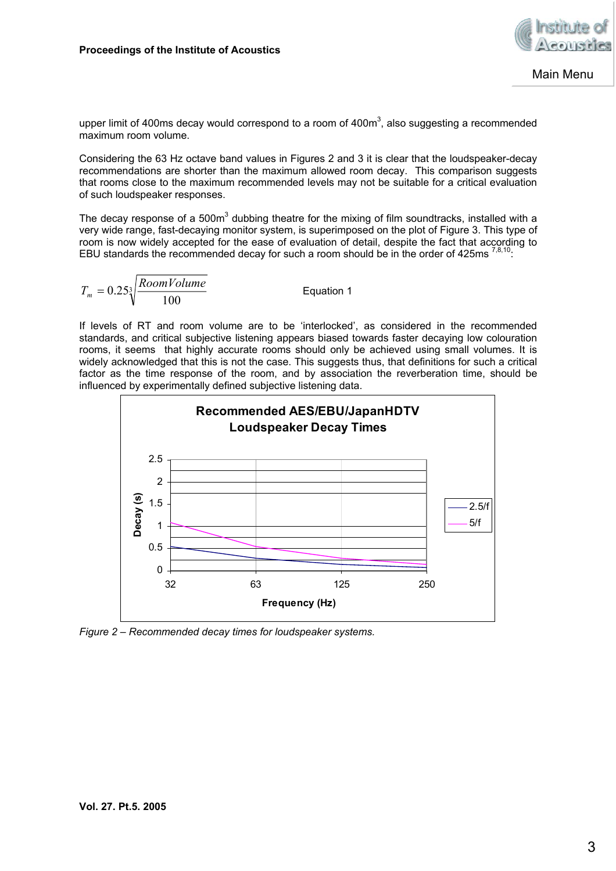

upper limit of 400ms decay would correspond to a room of 400 $m<sup>3</sup>$ , also suggesting a recommended maximum room volume.

Considering the 63 Hz octave band values in Figures 2 and 3 it is clear that the loudspeaker-decay recommendations are shorter than the maximum allowed room decay. This comparison suggests that rooms close to the maximum recommended levels may not be suitable for a critical evaluation of such loudspeaker responses.

The decay response of a 500m<sup>3</sup> dubbing theatre for the mixing of film soundtracks, installed with a very wide range, fast-decaying monitor system, is superimposed on the plot of Figure 3. This type of room is now widely accepted for the ease of evaluation of detail, despite the fact that according to EBU standards the recommended decay for such a room should be in the order of 425ms  $^{7,8,10}$ .

$$
T_m = 0.25\sqrt[3]{\frac{RoomVolume}{100}}
$$
 Equation 1

If levels of RT and room volume are to be 'interlocked', as considered in the recommended standards, and critical subjective listening appears biased towards faster decaying low colouration rooms, it seems that highly accurate rooms should only be achieved using small volumes. It is widely acknowledged that this is not the case. This suggests thus, that definitions for such a critical factor as the time response of the room, and by association the reverberation time, should be influenced by experimentally defined subjective listening data.



*Figure 2 – Recommended decay times for loudspeaker systems.*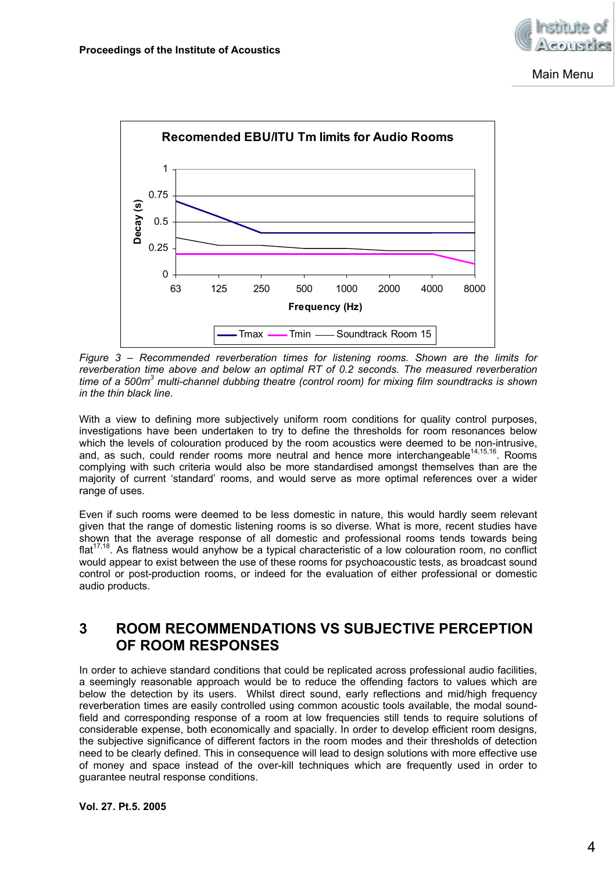

Main Menu



*Figure 3 – Recommended reverberation times for listening rooms. Shown are the limits for reverberation time above and below an optimal RT of 0.2 seconds. The measured reverberation*  time of a 500m<sup>3</sup> multi-channel dubbing theatre (control room) for mixing film soundtracks is shown *in the thin black line.* 

With a view to defining more subjectively uniform room conditions for quality control purposes, investigations have been undertaken to try to define the thresholds for room resonances below which the levels of colouration produced by the room acoustics were deemed to be non-intrusive, and, as such, could render rooms more neutral and hence more interchangeable<sup>14,15,16</sup>. Rooms complying with such criteria would also be more standardised amongst themselves than are the majority of current 'standard' rooms, and would serve as more optimal references over a wider range of uses.

Even if such rooms were deemed to be less domestic in nature, this would hardly seem relevant given that the range of domestic listening rooms is so diverse. What is more, recent studies have shown that the average response of all domestic and professional rooms tends towards being  $flat^{17,18}$ . As flatness would anyhow be a typical characteristic of a low colouration room, no conflict would appear to exist between the use of these rooms for psychoacoustic tests, as broadcast sound control or post-production rooms, or indeed for the evaluation of either professional or domestic audio products.

## **3 ROOM RECOMMENDATIONS VS SUBJECTIVE PERCEPTION OF ROOM RESPONSES**

In order to achieve standard conditions that could be replicated across professional audio facilities, a seemingly reasonable approach would be to reduce the offending factors to values which are below the detection by its users. Whilst direct sound, early reflections and mid/high frequency reverberation times are easily controlled using common acoustic tools available, the modal soundfield and corresponding response of a room at low frequencies still tends to require solutions of considerable expense, both economically and spacially. In order to develop efficient room designs, the subjective significance of different factors in the room modes and their thresholds of detection need to be clearly defined. This in consequence will lead to design solutions with more effective use of money and space instead of the over-kill techniques which are frequently used in order to guarantee neutral response conditions.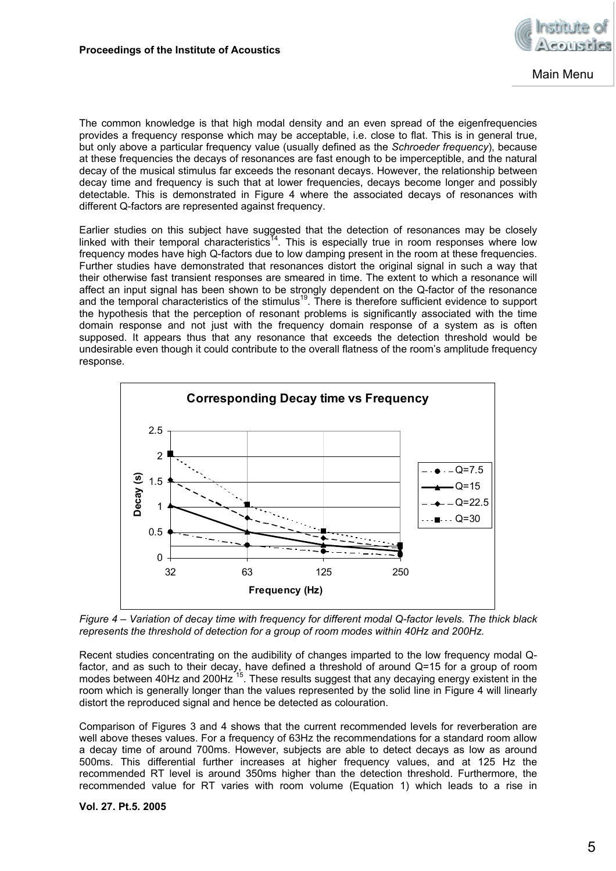

The common knowledge is that high modal density and an even spread of the eigenfrequencies provides a frequency response which may be acceptable, i.e. close to flat. This is in general true, but only above a particular frequency value (usually defined as the *Schroeder frequency*), because at these frequencies the decays of resonances are fast enough to be imperceptible, and the natural decay of the musical stimulus far exceeds the resonant decays. However, the relationship between decay time and frequency is such that at lower frequencies, decays become longer and possibly detectable. This is demonstrated in Figure 4 where the associated decays of resonances with different Q-factors are represented against frequency.

Earlier studies on this subject have suggested that the detection of resonances may be closely linked with their temporal characteristics<sup>14</sup>. This is especially true in room responses where low frequency modes have high Q-factors due to low damping present in the room at these frequencies. Further studies have demonstrated that resonances distort the original signal in such a way that their otherwise fast transient responses are smeared in time. The extent to which a resonance will affect an input signal has been shown to be strongly dependent on the Q-factor of the resonance and the temporal characteristics of the stimulus<sup>19</sup>. There is therefore sufficient evidence to support the hypothesis that the perception of resonant problems is significantly associated with the time domain response and not just with the frequency domain response of a system as is often supposed. It appears thus that any resonance that exceeds the detection threshold would be undesirable even though it could contribute to the overall flatness of the room's amplitude frequency response.



*Figure 4 – Variation of decay time with frequency for different modal Q-factor levels. The thick black represents the threshold of detection for a group of room modes within 40Hz and 200Hz.* 

Recent studies concentrating on the audibility of changes imparted to the low frequency modal Qfactor, and as such to their decay, have defined a threshold of around Q=15 for a group of room modes between 40Hz and 200Hz <sup>15</sup>. These results suggest that any decaying energy existent in the room which is generally longer than the values represented by the solid line in Figure 4 will linearly distort the reproduced signal and hence be detected as colouration.

Comparison of Figures 3 and 4 shows that the current recommended levels for reverberation are well above theses values. For a frequency of 63Hz the recommendations for a standard room allow a decay time of around 700ms. However, subjects are able to detect decays as low as around 500ms. This differential further increases at higher frequency values, and at 125 Hz the recommended RT level is around 350ms higher than the detection threshold. Furthermore, the recommended value for RT varies with room volume (Equation 1) which leads to a rise in

#### **Vol. 27. Pt.5. 2005**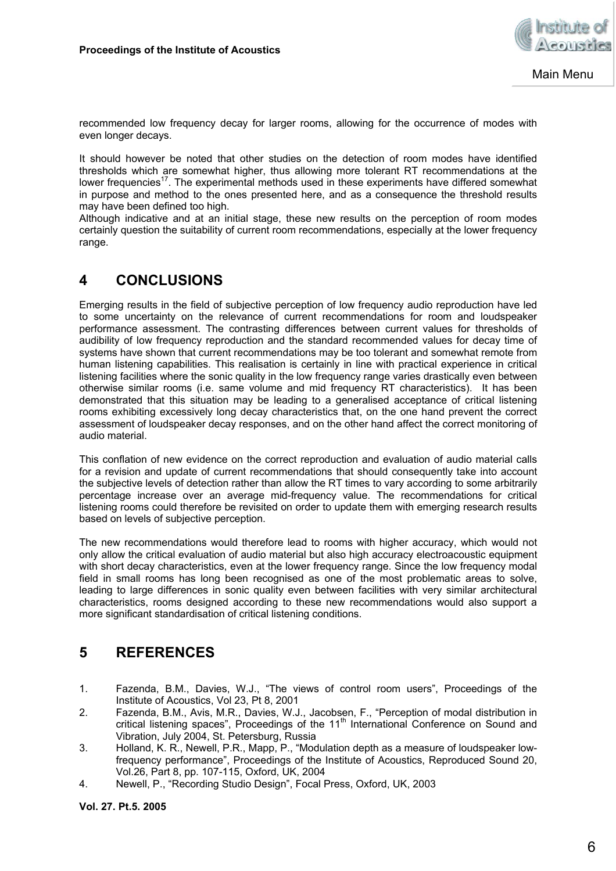

recommended low frequency decay for larger rooms, allowing for the occurrence of modes with even longer decays.

It should however be noted that other studies on the detection of room modes have identified thresholds which are somewhat higher, thus allowing more tolerant RT recommendations at the lower frequencies<sup>17</sup>. The experimental methods used in these experiments have differed somewhat in purpose and method to the ones presented here, and as a consequence the threshold results may have been defined too high.

Although indicative and at an initial stage, these new results on the perception of room modes certainly question the suitability of current room recommendations, especially at the lower frequency range.

## **4 CONCLUSIONS**

Emerging results in the field of subjective perception of low frequency audio reproduction have led to some uncertainty on the relevance of current recommendations for room and loudspeaker performance assessment. The contrasting differences between current values for thresholds of audibility of low frequency reproduction and the standard recommended values for decay time of systems have shown that current recommendations may be too tolerant and somewhat remote from human listening capabilities. This realisation is certainly in line with practical experience in critical listening facilities where the sonic quality in the low frequency range varies drastically even between otherwise similar rooms (i.e. same volume and mid frequency RT characteristics). It has been demonstrated that this situation may be leading to a generalised acceptance of critical listening rooms exhibiting excessively long decay characteristics that, on the one hand prevent the correct assessment of loudspeaker decay responses, and on the other hand affect the correct monitoring of audio material.

This conflation of new evidence on the correct reproduction and evaluation of audio material calls for a revision and update of current recommendations that should consequently take into account the subjective levels of detection rather than allow the RT times to vary according to some arbitrarily percentage increase over an average mid-frequency value. The recommendations for critical listening rooms could therefore be revisited on order to update them with emerging research results based on levels of subjective perception.

The new recommendations would therefore lead to rooms with higher accuracy, which would not only allow the critical evaluation of audio material but also high accuracy electroacoustic equipment with short decay characteristics, even at the lower frequency range. Since the low frequency modal field in small rooms has long been recognised as one of the most problematic areas to solve, leading to large differences in sonic quality even between facilities with very similar architectural characteristics, rooms designed according to these new recommendations would also support a more significant standardisation of critical listening conditions.

## **5 REFERENCES**

- 1. Fazenda, B.M., Davies, W.J., "The views of control room users", Proceedings of the Institute of Acoustics, Vol 23, Pt 8, 2001
- 2. Fazenda, B.M., Avis, M.R., Davies, W.J., Jacobsen, F., "Perception of modal distribution in critical listening spaces", Proceedings of the 11<sup>th</sup> International Conference on Sound and Vibration, July 2004, St. Petersburg, Russia
- 3. Holland, K. R., Newell, P.R., Mapp, P., "Modulation depth as a measure of loudspeaker lowfrequency performance", Proceedings of the Institute of Acoustics, Reproduced Sound 20, Vol.26, Part 8, pp. 107-115, Oxford, UK, 2004
- 4. Newell, P., "Recording Studio Design", Focal Press, Oxford, UK, 2003

**Vol. 27. Pt.5. 2005**